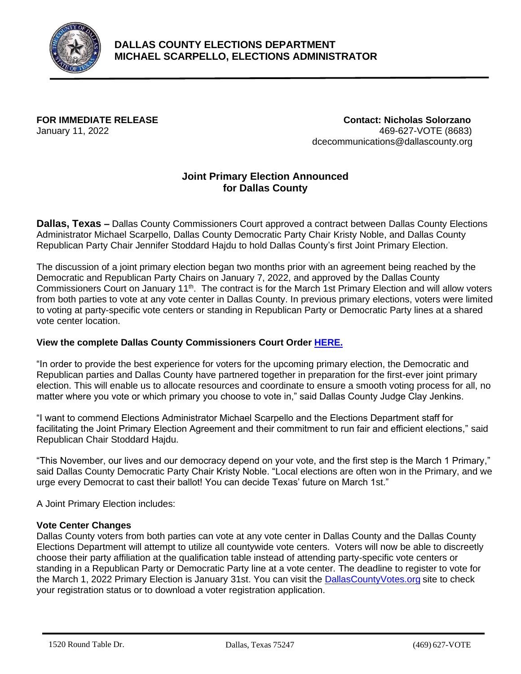

## **DALLAS COUNTY ELECTIONS DEPARTMENT MICHAEL SCARPELLO, ELECTIONS ADMINISTRATOR**

**FOR IMMEDIATE RELEASE Contact: Nicholas Solorzano** January 11, 2022 469-627-VOTE (8683) dcecommunications@dallascounty.org

# **Joint Primary Election Announced for Dallas County**

**Dallas, Texas –** Dallas County Commissioners Court approved a contract between Dallas County Elections Administrator Michael Scarpello, Dallas County Democratic Party Chair Kristy Noble, and Dallas County Republican Party Chair Jennifer Stoddard Hajdu to hold Dallas County's first Joint Primary Election.

The discussion of a joint primary election began two months prior with an agreement being reached by the Democratic and Republican Party Chairs on January 7, 2022, and approved by the Dallas County Commissioners Court on January 11<sup>th</sup>. The contract is for the March 1st Primary Election and will allow voters from both parties to vote at any vote center in Dallas County. In previous primary elections, voters were limited to voting at party-specific vote centers or standing in Republican Party or Democratic Party lines at a shared vote center location.

### **View the complete Dallas County Commissioners Court Order [HERE.](https://dallascounty.civicweb.net/document/687761/March%201,%202022%20Joint%20Primary%20Election%20Authorizat.pdf?handle=CA53FB5451974BE5BDA411E53590356B)**

"In order to provide the best experience for voters for the upcoming primary election, the Democratic and Republican parties and Dallas County have partnered together in preparation for the first-ever joint primary election. This will enable us to allocate resources and coordinate to ensure a smooth voting process for all, no matter where you vote or which primary you choose to vote in," said Dallas County Judge Clay Jenkins.

"I want to commend Elections Administrator Michael Scarpello and the Elections Department staff for facilitating the Joint Primary Election Agreement and their commitment to run fair and efficient elections," said Republican Chair Stoddard Hajdu.

"This November, our lives and our democracy depend on your vote, and the first step is the March 1 Primary," said Dallas County Democratic Party Chair Kristy Noble. "Local elections are often won in the Primary, and we urge every Democrat to cast their ballot! You can decide Texas' future on March 1st."

A Joint Primary Election includes:

### **Vote Center Changes**

Dallas County voters from both parties can vote at any vote center in Dallas County and the Dallas County Elections Department will attempt to utilize all countywide vote centers. Voters will now be able to discreetly choose their party affiliation at the qualification table instead of attending party-specific vote centers or standing in a Republican Party or Democratic Party line at a vote center. The deadline to register to vote for the March 1, 2022 Primary Election is January 31st. You can visit the [DallasCountyVotes.org](https://www.dallascountyvotes.org/) site to check your registration status or to download a voter registration application.